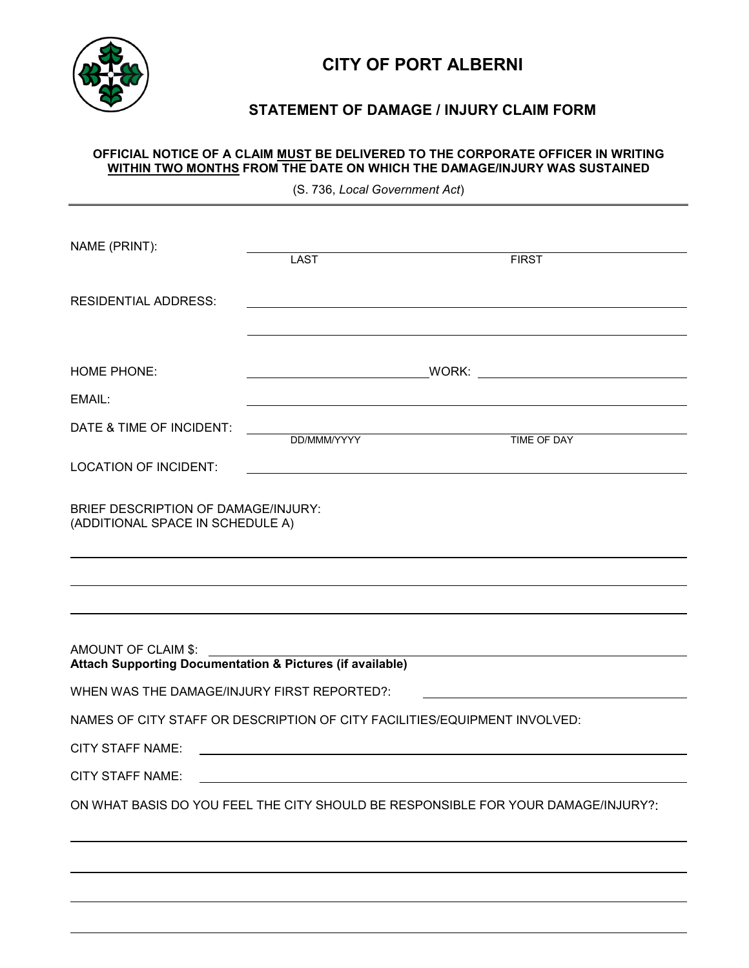

## **CITY OF PORT ALBERNI**

### **STATEMENT OF DAMAGE / INJURY CLAIM FORM**

#### **OFFICIAL NOTICE OF A CLAIM MUST BE DELIVERED TO THE CORPORATE OFFICER IN WRITING WITHIN TWO MONTHS FROM THE DATE ON WHICH THE DAMAGE/INJURY WAS SUSTAINED**

(S. 736, *Local Government Act*)

| NAME (PRINT):                                                                                                                                                                                                                                            | <b>LAST</b> | <b>FIRST</b>                                                                      |  |  |  |
|----------------------------------------------------------------------------------------------------------------------------------------------------------------------------------------------------------------------------------------------------------|-------------|-----------------------------------------------------------------------------------|--|--|--|
| <b>RESIDENTIAL ADDRESS:</b>                                                                                                                                                                                                                              |             |                                                                                   |  |  |  |
| <b>HOME PHONE:</b><br>EMAIL:                                                                                                                                                                                                                             |             |                                                                                   |  |  |  |
| DATE & TIME OF INCIDENT:                                                                                                                                                                                                                                 | DD/MMM/YYYY | TIME OF DAY                                                                       |  |  |  |
| <b>LOCATION OF INCIDENT:</b>                                                                                                                                                                                                                             |             |                                                                                   |  |  |  |
| BRIEF DESCRIPTION OF DAMAGE/INJURY:<br>(ADDITIONAL SPACE IN SCHEDULE A)                                                                                                                                                                                  |             |                                                                                   |  |  |  |
|                                                                                                                                                                                                                                                          |             |                                                                                   |  |  |  |
| AMOUNT OF CLAIM \$:<br><b>Attach Supporting Documentation &amp; Pictures (if available)</b>                                                                                                                                                              |             |                                                                                   |  |  |  |
| WHEN WAS THE DAMAGE/INJURY FIRST REPORTED?:                                                                                                                                                                                                              |             |                                                                                   |  |  |  |
| NAMES OF CITY STAFF OR DESCRIPTION OF CITY FACILITIES/EQUIPMENT INVOLVED:                                                                                                                                                                                |             |                                                                                   |  |  |  |
| <b>CITY STAFF NAME:</b><br>the control of the control of the control of the control of the control of the control of the control of the control of the control of the control of the control of the control of the control of the control of the control |             |                                                                                   |  |  |  |
| <b>CITY STAFF NAME:</b>                                                                                                                                                                                                                                  |             |                                                                                   |  |  |  |
|                                                                                                                                                                                                                                                          |             | ON WHAT BASIS DO YOU FEEL THE CITY SHOULD BE RESPONSIBLE FOR YOUR DAMAGE/INJURY?: |  |  |  |
|                                                                                                                                                                                                                                                          |             |                                                                                   |  |  |  |
|                                                                                                                                                                                                                                                          |             |                                                                                   |  |  |  |
|                                                                                                                                                                                                                                                          |             |                                                                                   |  |  |  |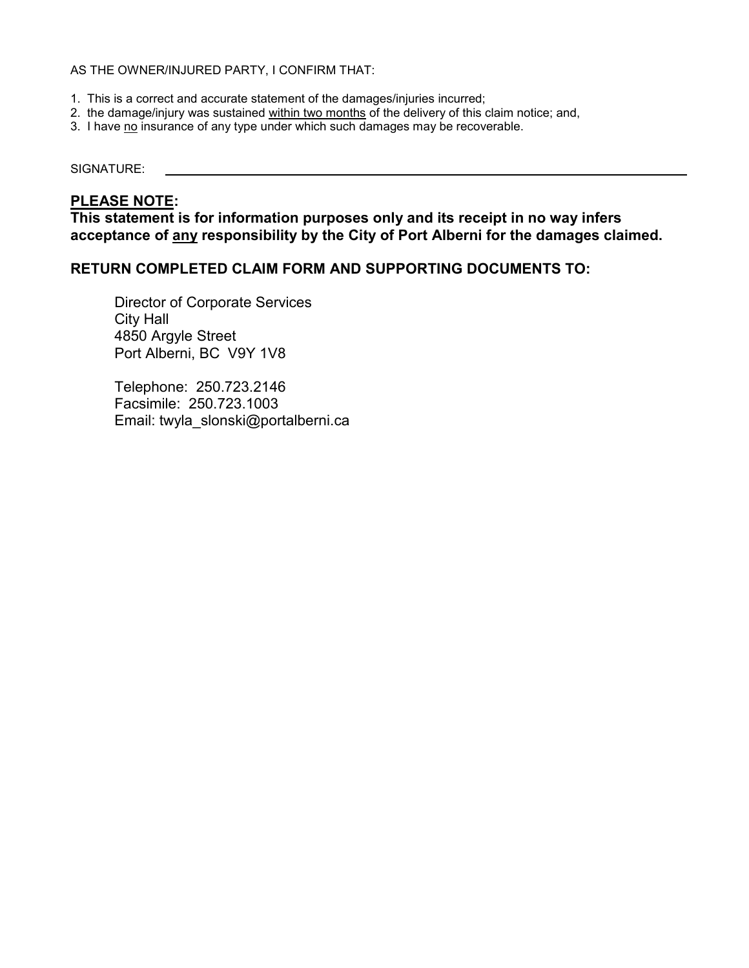#### AS THE OWNER/INJURED PARTY, I CONFIRM THAT:

- 1. This is a correct and accurate statement of the damages/injuries incurred;
- 2. the damage/injury was sustained within two months of the delivery of this claim notice; and,
- 3. I have no insurance of any type under which such damages may be recoverable.

#### SIGNATURE:

### **PLEASE NOTE:**

**This statement is for information purposes only and its receipt in no way infers acceptance of any responsibility by the City of Port Alberni for the damages claimed.** 

### **RETURN COMPLETED CLAIM FORM AND SUPPORTING DOCUMENTS TO:**

Director of Corporate Services City Hall 4850 Argyle Street Port Alberni, BC V9Y 1V8

Telephone: 250.723.2146 Facsimile: 250.723.1003 Email: twyla\_slonski@portalberni.ca